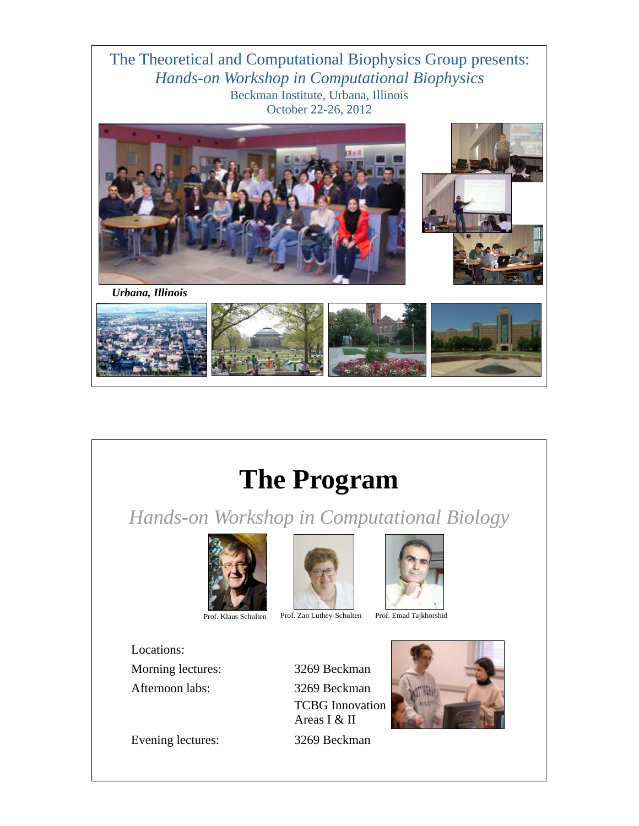The Theoretical and Computational Biophysics Group presents: *Hands-on Workshop in Computational Biophysics* Beckman Institute, Urbana, Illinois October 22-26, 2012



# **The Program**

*Hands-on Workshop in Computational Biology*





Prof. Klaus Schulten Prof. Zan Luthey-Schulten Prof. Emad Tajkhorshid



Locations: Morning lectures: 3269 Beckman Afternoon labs: 3269 Beckman

TCBG Innovation Areas I & II



Evening lectures: 3269 Beckman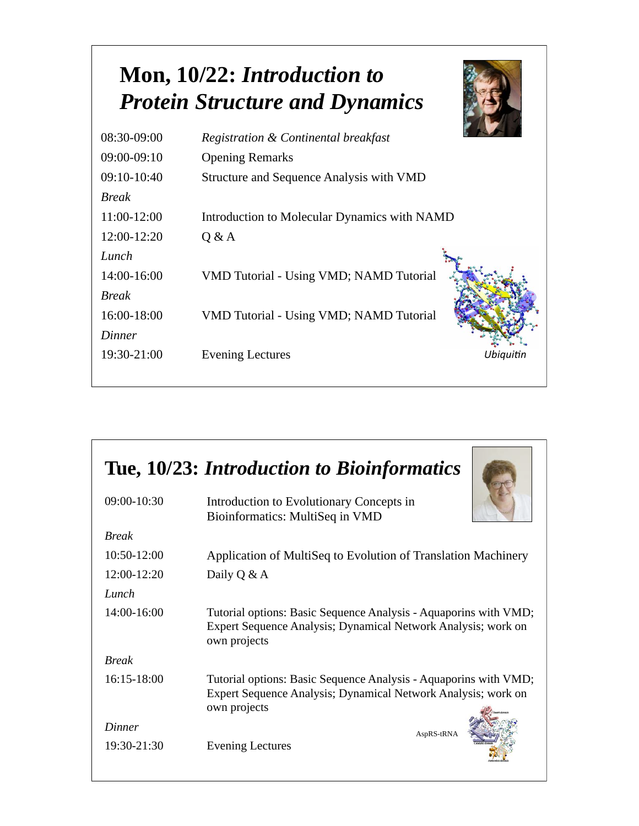### **Mon, 10/22:** *Introduction to Protein Structure and Dynamics*



| 08:30-09:00   | Registration & Continental breakfast         |           |
|---------------|----------------------------------------------|-----------|
| $09:00-09:10$ | <b>Opening Remarks</b>                       |           |
| $09:10-10:40$ | Structure and Sequence Analysis with VMD     |           |
| <b>Break</b>  |                                              |           |
| 11:00-12:00   | Introduction to Molecular Dynamics with NAMD |           |
| 12:00-12:20   | Q & A                                        |           |
| Lunch         |                                              |           |
| 14:00-16:00   | VMD Tutorial - Using VMD; NAMD Tutorial      |           |
| <b>Break</b>  |                                              |           |
| 16:00-18:00   | VMD Tutorial - Using VMD; NAMD Tutorial      |           |
| Dinner        |                                              |           |
| 19:30-21:00   | <b>Evening Lectures</b>                      | Ubiquitin |
|               |                                              |           |

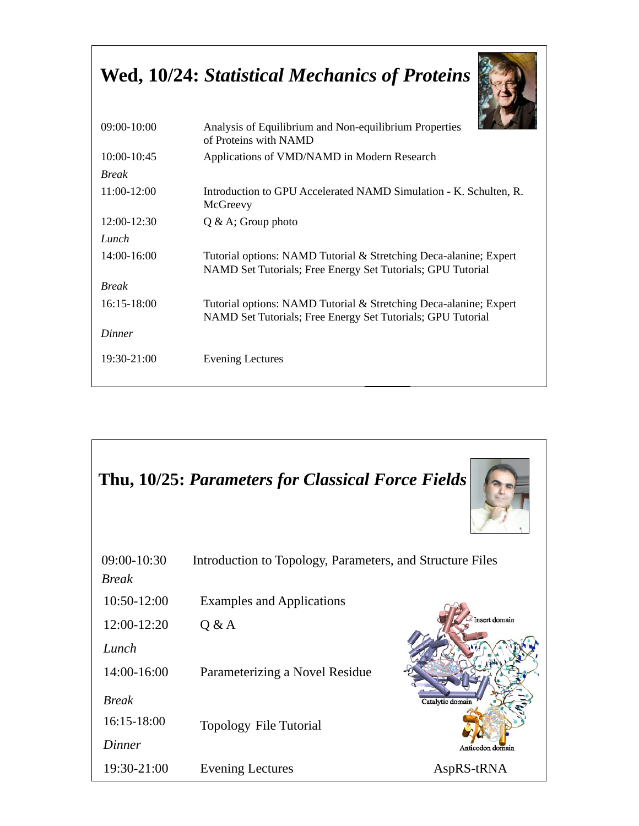#### **Wed, 10/24:** *Statistical Mechanics of Proteins*



| 09:00-10:00     | Analysis of Equilibrium and Non-equilibrium Properties<br>of Proteins with NAMD                                                  |  |
|-----------------|----------------------------------------------------------------------------------------------------------------------------------|--|
| $10:00 - 10:45$ | Applications of VMD/NAMD in Modern Research                                                                                      |  |
| <b>Break</b>    |                                                                                                                                  |  |
| 11:00-12:00     | Introduction to GPU Accelerated NAMD Simulation - K. Schulten, R.<br>McGreevy                                                    |  |
| 12:00-12:30     | $Q & A$ ; Group photo                                                                                                            |  |
| Lunch           |                                                                                                                                  |  |
| 14:00-16:00     | Tutorial options: NAMD Tutorial & Stretching Deca-alanine; Expert<br>NAMD Set Tutorials; Free Energy Set Tutorials; GPU Tutorial |  |
| <b>Break</b>    |                                                                                                                                  |  |
| $16:15 - 18:00$ | Tutorial options: NAMD Tutorial & Stretching Deca-alanine; Expert<br>NAMD Set Tutorials; Free Energy Set Tutorials; GPU Tutorial |  |
| Dinner          |                                                                                                                                  |  |
| 19:30-21:00     | <b>Evening Lectures</b>                                                                                                          |  |
|                 |                                                                                                                                  |  |

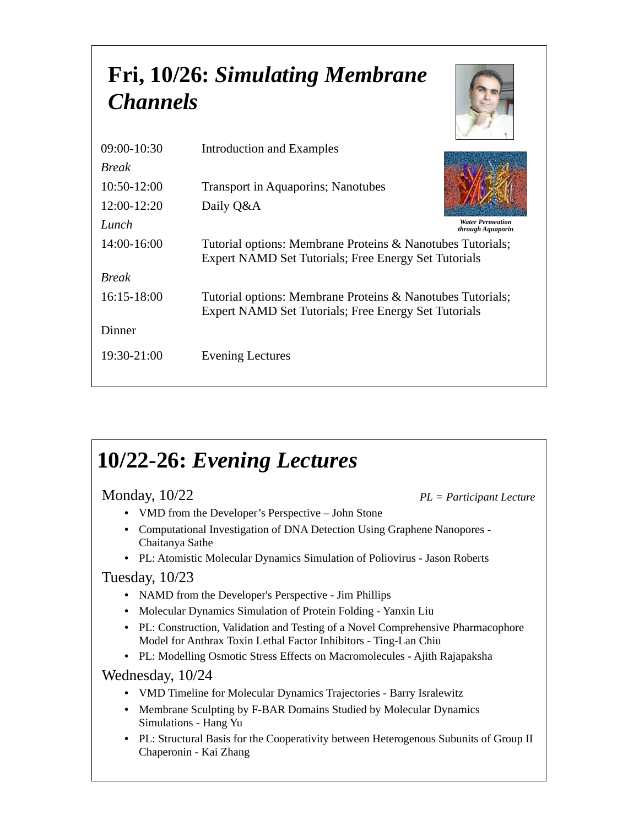## **Fri, 10/26:** *Simulating Membrane Channels*

| $09:00 - 10:30$ | Introduction and Examples                                                                                          |
|-----------------|--------------------------------------------------------------------------------------------------------------------|
| <b>Break</b>    |                                                                                                                    |
| $10:50-12:00$   | <b>Transport in Aquaporins</b> ; Nanotubes                                                                         |
| $12:00-12:20$   | Daily Q&A                                                                                                          |
| Lunch           | <b>Water Permeation</b><br>through Aquaporin                                                                       |
| 14:00-16:00     | Tutorial options: Membrane Proteins & Nanotubes Tutorials;<br>Expert NAMD Set Tutorials; Free Energy Set Tutorials |
| <b>Break</b>    |                                                                                                                    |
| $16:15-18:00$   | Tutorial options: Membrane Proteins & Nanotubes Tutorials;<br>Expert NAMD Set Tutorials; Free Energy Set Tutorials |
| Dinner          |                                                                                                                    |
| 19:30-21:00     | <b>Evening Lectures</b>                                                                                            |

## **10/22-26:** *Evening Lectures*

Monday, 10/22

*PL = Participant Lecture*

- VMD from the Developer's Perspective John Stone
- Computational Investigation of DNA Detection Using Graphene Nanopores Chaitanya Sathe
- PL: Atomistic Molecular Dynamics Simulation of Poliovirus Jason Roberts

#### Tuesday, 10/23

- NAMD from the Developer's Perspective Jim Phillips
- Molecular Dynamics Simulation of Protein Folding Yanxin Liu
- PL: Construction, Validation and Testing of a Novel Comprehensive Pharmacophore Model for Anthrax Toxin Lethal Factor Inhibitors - Ting-Lan Chiu
- PL: Modelling Osmotic Stress Effects on Macromolecules Ajith Rajapaksha

Wednesday, 10/24

- VMD Timeline for Molecular Dynamics Trajectories Barry Isralewitz
- Membrane Sculpting by F-BAR Domains Studied by Molecular Dynamics Simulations - Hang Yu
- PL: Structural Basis for the Cooperativity between Heterogenous Subunits of Group II Chaperonin - Kai Zhang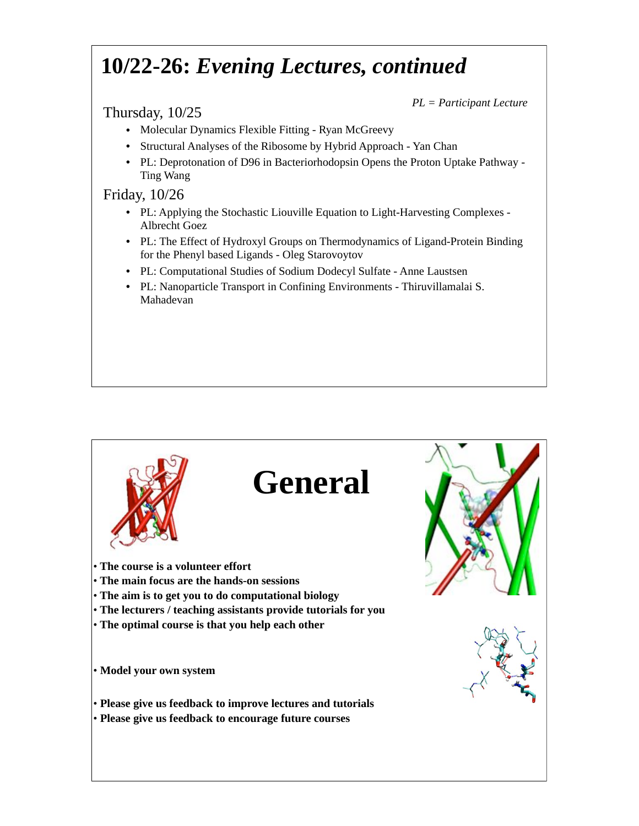### **10/22-26:** *Evening Lectures, continued*

#### Thursday, 10/25

*PL = Participant Lecture*

- Molecular Dynamics Flexible Fitting Ryan McGreevy
- Structural Analyses of the Ribosome by Hybrid Approach Yan Chan
- PL: Deprotonation of D96 in Bacteriorhodopsin Opens the Proton Uptake Pathway Ting Wang

Friday, 10/26

- PL: Applying the Stochastic Liouville Equation to Light-Harvesting Complexes Albrecht Goez
- PL: The Effect of Hydroxyl Groups on Thermodynamics of Ligand-Protein Binding for the Phenyl based Ligands - Oleg Starovoytov
- PL: Computational Studies of Sodium Dodecyl Sulfate Anne Laustsen
- PL: Nanoparticle Transport in Confining Environments Thiruvillamalai S. Mahadevan